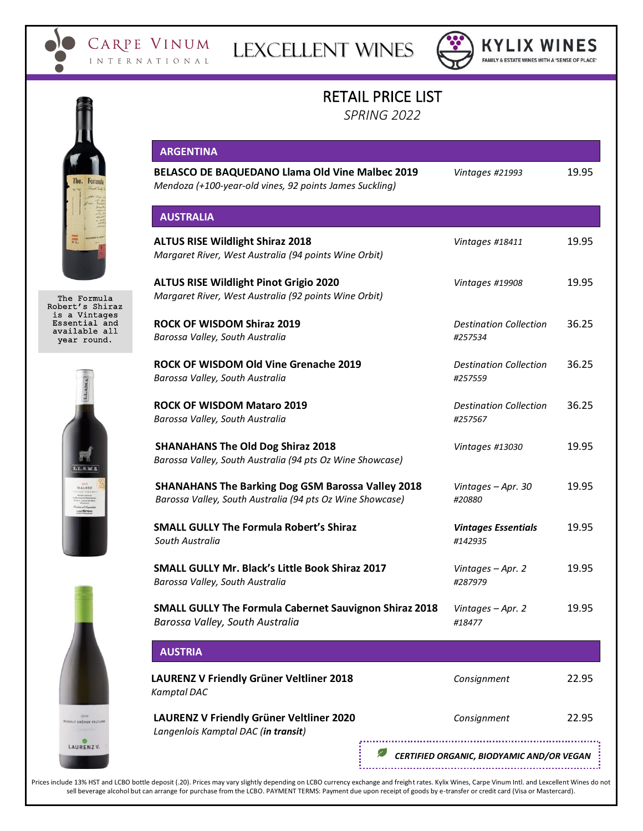



**KYLIX WINES** FAMILY & ESTATE WINES WITH A 'SENSE OF PLACE'

## RETAIL PRICE LIST

*SPRING 2022*

|                                                                | <b>ARGENTINA</b>                                                                                                      |                                           |       |
|----------------------------------------------------------------|-----------------------------------------------------------------------------------------------------------------------|-------------------------------------------|-------|
|                                                                | <b>BELASCO DE BAQUEDANO Llama Old Vine Malbec 2019</b><br>Mendoza (+100-year-old vines, 92 points James Suckling)     | Vintages #21993                           | 19.95 |
|                                                                | <b>AUSTRALIA</b>                                                                                                      |                                           |       |
|                                                                | <b>ALTUS RISE Wildlight Shiraz 2018</b><br>Margaret River, West Australia (94 points Wine Orbit)                      | Vintages #18411                           | 19.95 |
| The Formula<br>Robert's Shiraz                                 | <b>ALTUS RISE Wildlight Pinot Grigio 2020</b><br>Margaret River, West Australia (92 points Wine Orbit)                | Vintages #19908                           | 19.95 |
| is a Vintages<br>Essential and<br>available all<br>year round. | ROCK OF WISDOM Shiraz 2019<br>Barossa Valley, South Australia                                                         | <b>Destination Collection</b><br>#257534  | 36.25 |
|                                                                | ROCK OF WISDOM Old Vine Grenache 2019<br>Barossa Valley, South Australia                                              | <b>Destination Collection</b><br>#257559  | 36.25 |
| LLAMA<br>MALBEC                                                | <b>ROCK OF WISDOM Mataro 2019</b><br>Barossa Valley, South Australia                                                  | <b>Destination Collection</b><br>#257567  | 36.25 |
|                                                                | <b>SHANAHANS The Old Dog Shiraz 2018</b><br>Barossa Valley, South Australia (94 pts Oz Wine Showcase)                 | Vintages #13030                           | 19.95 |
|                                                                | <b>SHANAHANS The Barking Dog GSM Barossa Valley 2018</b><br>Barossa Valley, South Australia (94 pts Oz Wine Showcase) | Vintages - Apr. 30<br>#20880              | 19.95 |
|                                                                | <b>SMALL GULLY The Formula Robert's Shiraz</b><br>South Australia                                                     | <b>Vintages Essentials</b><br>#142935     | 19.95 |
|                                                                | SMALL GULLY Mr. Black's Little Book Shiraz 2017<br>Barossa Valley, South Australia                                    | Vintages - Apr. 2<br>#287979              | 19.95 |
|                                                                | <b>SMALL GULLY The Formula Cabernet Sauvignon Shiraz 2018</b><br>Barossa Valley, South Australia                      | Vintages - Apr. 2<br>#18477               | 19.95 |
|                                                                | <b>AUSTRIA</b>                                                                                                        |                                           |       |
|                                                                | LAURENZ V Friendly Grüner Veltliner 2018<br><b>Kamptal DAC</b>                                                        | Consignment                               | 22.95 |
| <b>INDLY GRÜNER VELTUNI</b>                                    | LAURENZ V Friendly Grüner Veltliner 2020<br>Langenlois Kamptal DAC (in transit)                                       | Consignment                               | 22.95 |
| LAURENZV.                                                      |                                                                                                                       | CERTIFIED ORGANIC, BIODYAMIC AND/OR VEGAN |       |

Prices include 13% HST and LCBO bottle deposit (.20). Prices may vary slightly depending on LCBO currency exchange and freight rates. Kylix Wines, Carpe Vinum Intl. and Lexcellent Wines do not sell beverage alcohol but can arrange for purchase from the LCBO. PAYMENT TERMS: Payment due upon receipt of goods by e-transfer or credit card (Visa or Mastercard).







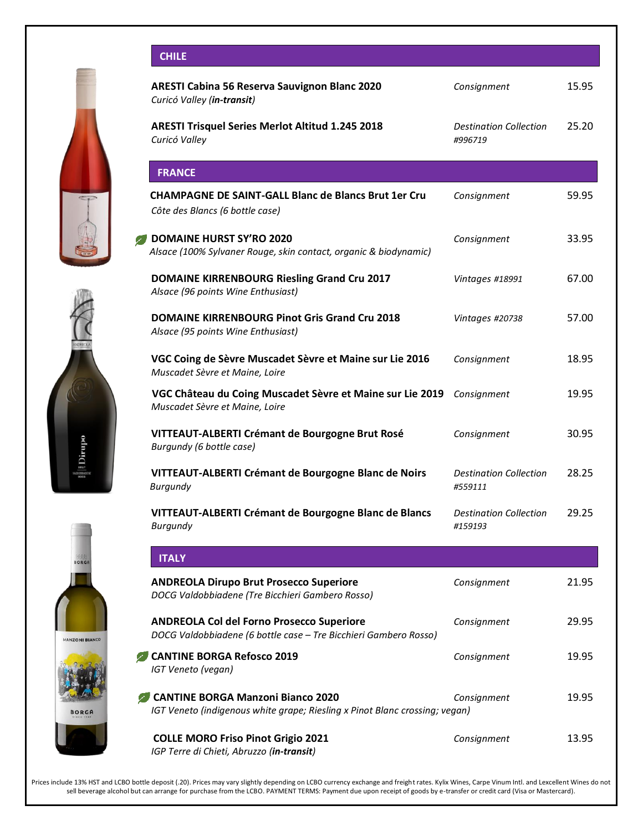









|                   | <b>CHILE</b>                                                                                                         |                                          |       |
|-------------------|----------------------------------------------------------------------------------------------------------------------|------------------------------------------|-------|
|                   | <b>ARESTI Cabina 56 Reserva Sauvignon Blanc 2020</b><br>Curicó Valley (in-transit)                                   | Consignment                              | 15.95 |
|                   | ARESTI Trisquel Series Merlot Altitud 1.245 2018<br>Curicó Valley                                                    | <b>Destination Collection</b><br>#996719 | 25.20 |
|                   | <b>FRANCE</b>                                                                                                        |                                          |       |
|                   | <b>CHAMPAGNE DE SAINT-GALL Blanc de Blancs Brut 1er Cru</b><br>Côte des Blancs (6 bottle case)                       | Consignment                              | 59.95 |
|                   | <b>DOMAINE HURST SY'RO 2020</b><br>Alsace (100% Sylvaner Rouge, skin contact, organic & biodynamic)                  | Consignment                              | 33.95 |
|                   | <b>DOMAINE KIRRENBOURG Riesling Grand Cru 2017</b><br>Alsace (96 points Wine Enthusiast)                             | Vintages #18991                          | 67.00 |
|                   | <b>DOMAINE KIRRENBOURG Pinot Gris Grand Cru 2018</b><br>Alsace (95 points Wine Enthusiast)                           | Vintages #20738                          | 57.00 |
|                   | VGC Coing de Sèvre Muscadet Sèvre et Maine sur Lie 2016<br>Muscadet Sèvre et Maine, Loire                            | Consignment                              | 18.95 |
|                   | VGC Château du Coing Muscadet Sèvre et Maine sur Lie 2019<br>Muscadet Sèvre et Maine, Loire                          | Consignment                              | 19.95 |
| a Dirupo          | VITTEAUT-ALBERTI Crémant de Bourgogne Brut Rosé<br>Burgundy (6 bottle case)                                          | Consignment                              | 30.95 |
|                   | VITTEAUT-ALBERTI Crémant de Bourgogne Blanc de Noirs<br><b>Burgundy</b>                                              | <b>Destination Collection</b><br>#559111 | 28.25 |
|                   | VITTEAUT-ALBERTI Crémant de Bourgogne Blanc de Blancs<br>Burgundy                                                    | <b>Destination Collection</b><br>#159193 | 29.25 |
| ORGA              | <b>ITALY</b>                                                                                                         |                                          |       |
|                   | <b>ANDREOLA Dirupo Brut Prosecco Superiore</b><br>DOCG Valdobbiadene (Tre Bicchieri Gambero Rosso)                   | Consignment                              | 21.95 |
| <b>ONI BIANCO</b> | <b>ANDREOLA Col del Forno Prosecco Superiore</b><br>DOCG Valdobbiadene (6 bottle case - Tre Bicchieri Gambero Rosso) | Consignment                              | 29.95 |
|                   | <b>CANTINE BORGA Refosco 2019</b><br>IGT Veneto (vegan)                                                              | Consignment                              | 19.95 |
| ORGA              | CANTINE BORGA Manzoni Bianco 2020<br>IGT Veneto (indigenous white grape; Riesling x Pinot Blanc crossing; vegan)     | Consignment                              | 19.95 |
|                   | <b>COLLE MORO Friso Pinot Grigio 2021</b>                                                                            | Consignment                              | 13.95 |

Prices include 13% HST and LCBO bottle deposit (.20). Prices may vary slightly depending on LCBO currency exchange and freight rates. Kylix Wines, Carpe Vinum Intl. and Lexcellent Wines do not sell beverage alcohol but can arrange for purchase from the LCBO. PAYMENT TERMS: Payment due upon receipt of goods by e-transfer or credit card (Visa or Mastercard).

*IGP Terre di Chieti, Abruzzo (in-transit)*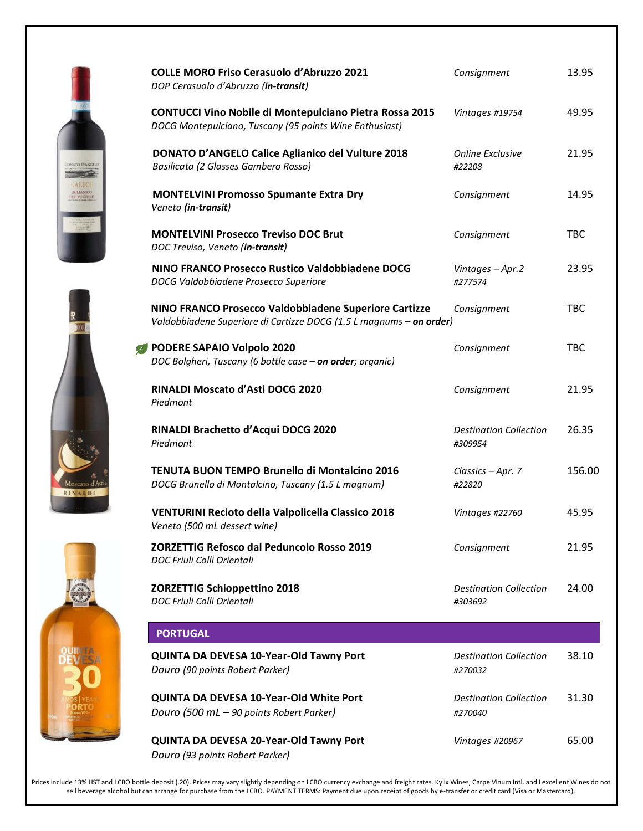| <b>COLLE MORO Friso Cerasuolo d'Abruzzo 2021</b><br>DOP Cerasuolo d'Abruzzo (in-transit)                                     | Consignment                              | 13.95      |
|------------------------------------------------------------------------------------------------------------------------------|------------------------------------------|------------|
| <b>CONTUCCI Vino Nobile di Montepulciano Pietra Rossa 2015</b><br>DOCG Montepulciano, Tuscany (95 points Wine Enthusiast)    | Vintages #19754                          | 49.95      |
| <b>DONATO D'ANGELO Calice Aglianico del Vulture 2018</b><br>Basilicata (2 Glasses Gambero Rosso)                             | <b>Online Exclusive</b><br>#22208        | 21.95      |
| <b>MONTELVINI Promosso Spumante Extra Dry</b><br>Veneto (in-transit)                                                         | Consignment                              | 14.95      |
| <b>MONTELVINI Prosecco Treviso DOC Brut</b><br>DOC Treviso, Veneto (in-transit)                                              | Consignment                              | <b>TBC</b> |
| NINO FRANCO Prosecco Rustico Valdobbiadene DOCG<br>DOCG Valdobbiadene Prosecco Superiore                                     | Vintages - Apr.2<br>#277574              | 23.95      |
| NINO FRANCO Prosecco Valdobbiadene Superiore Cartizze<br>Valdobbiadene Superiore di Cartizze DOCG (1.5 L magnums - on order) | Consignment                              | <b>TBC</b> |
| PODERE SAPAIO Volpolo 2020<br>DOC Bolgheri, Tuscany (6 bottle case - on order; organic)                                      | Consignment                              | <b>TBC</b> |
| RINALDI Moscato d'Asti DOCG 2020<br>Piedmont                                                                                 | Consignment                              | 21.95      |
| RINALDI Brachetto d'Acqui DOCG 2020<br>Piedmont                                                                              | <b>Destination Collection</b><br>#309954 | 26.35      |
| <b>TENUTA BUON TEMPO Brunello di Montalcino 2016</b><br>DOCG Brunello di Montalcino, Tuscany (1.5 L magnum)                  | Classics - Apr. 7<br>#22820              | 156.00     |
| VENTURINI Recioto della Valpolicella Classico 2018<br>Veneto (500 mL dessert wine)                                           | Vintages #22760                          | 45.95      |
| <b>ZORZETTIG Refosco dal Peduncolo Rosso 2019</b><br>DOC Friuli Colli Orientali                                              | Consignment                              | 21.95      |
| <b>ZORZETTIG Schioppettino 2018</b><br>DOC Friuli Colli Orientali                                                            | <b>Destination Collection</b><br>#303692 | 24.00      |
| <b>PORTUGAL</b>                                                                                                              |                                          |            |
| QUINTA DA DEVESA 10-Year-Old Tawny Port<br>Douro (90 points Robert Parker)                                                   | <b>Destination Collection</b><br>#270032 | 38.10      |
| QUINTA DA DEVESA 10-Year-Old White Port<br>Douro (500 mL - 90 points Robert Parker)                                          | <b>Destination Collection</b><br>#270040 | 31.30      |
| QUINTA DA DEVESA 20-Year-Old Tawny Port<br>Douro (93 points Robert Parker)                                                   | Vintages #20967                          | 65.00      |

Prices include 13% HST and LCBO bottle deposit (.20). Prices may vary slightly depending on LCBO currency exchange and freight rates. Kylix Wines, Carpe Vinum Intl. and Lexcellent Wines do not sell beverage alcohol but can arrange for purchase from the LCBO. PAYMENT TERMS: Payment due upon receipt of goods by e-transfer or credit card (Visa or Mastercard).





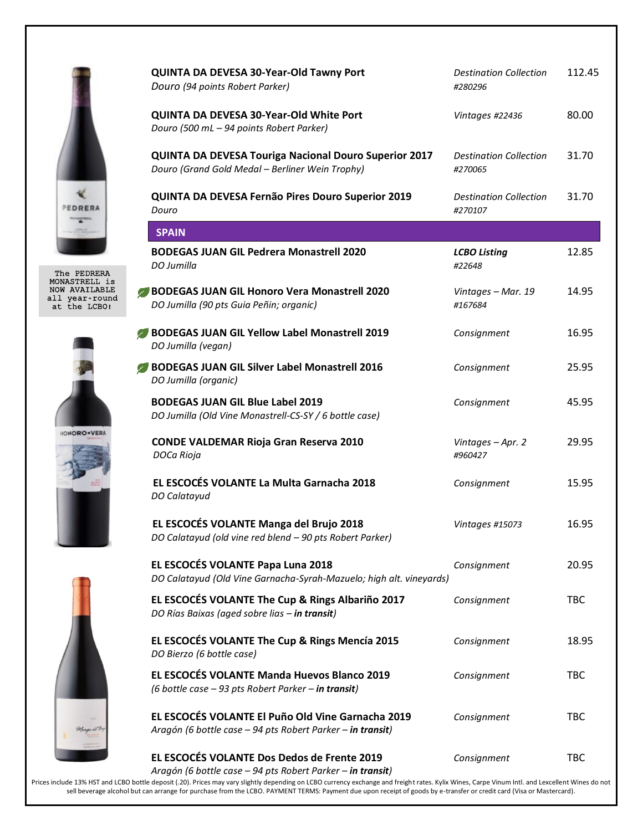

The PEDRERA MONASTRELL is NOW AVAILABLE all year-round at the LCBO!







|                                               | QUINTA DA DEVESA 30-Year-Old Tawny Port<br>Douro (94 points Robert Parker)                                      | <b>Destination Collection</b><br>#280296 | 112.45     |
|-----------------------------------------------|-----------------------------------------------------------------------------------------------------------------|------------------------------------------|------------|
|                                               | QUINTA DA DEVESA 30-Year-Old White Port<br>Douro (500 mL - 94 points Robert Parker)                             | Vintages #22436                          | 80.00      |
|                                               | <b>QUINTA DA DEVESA Touriga Nacional Douro Superior 2017</b><br>Douro (Grand Gold Medal - Berliner Wein Trophy) | <b>Destination Collection</b><br>#270065 | 31.70      |
|                                               | QUINTA DA DEVESA Fernão Pires Douro Superior 2019<br>Douro                                                      | <b>Destination Collection</b><br>#270107 | 31.70      |
|                                               | <b>SPAIN</b>                                                                                                    |                                          |            |
| PEDRERA                                       | <b>BODEGAS JUAN GIL Pedrera Monastrell 2020</b><br>DO Jumilla                                                   | <b>LCBO Listing</b><br>#22648            | 12.85      |
| TRELL is<br>VAILABLE<br>ar-round:<br>ie LCBO! | BODEGAS JUAN GIL Honoro Vera Monastrell 2020<br>DO Jumilla (90 pts Guia Peñin; organic)                         | Vintages - Mar. 19<br>#167684            | 14.95      |
|                                               | BODEGAS JUAN GIL Yellow Label Monastrell 2019<br>DO Jumilla (vegan)                                             | Consignment                              | 16.95      |
| <b>RO</b> ·VERA                               | BODEGAS JUAN GIL Silver Label Monastrell 2016<br>DO Jumilla (organic)                                           | Consignment                              | 25.95      |
|                                               | <b>BODEGAS JUAN GIL Blue Label 2019</b><br>DO Jumilla (Old Vine Monastrell-CS-SY / 6 bottle case)               | Consignment                              | 45.95      |
|                                               | <b>CONDE VALDEMAR Rioja Gran Reserva 2010</b><br>DOCa Rioja                                                     | Vintages - Apr. 2<br>#960427             | 29.95      |
|                                               | EL ESCOCÉS VOLANTE La Multa Garnacha 2018<br>DO Calatayud                                                       | Consignment                              | 15.95      |
|                                               | EL ESCOCÉS VOLANTE Manga del Brujo 2018<br>DO Calatayud (old vine red blend - 90 pts Robert Parker)             | Vintages #15073                          | 16.95      |
|                                               | EL ESCOCÉS VOLANTE Papa Luna 2018<br>DO Calatayud (Old Vine Garnacha-Syrah-Mazuelo; high alt. vineyards)        | Consignment                              | 20.95      |
|                                               | EL ESCOCÉS VOLANTE The Cup & Rings Albariño 2017<br>DO Rías Baixas (aged sobre lias - in transit)               | Consignment                              | <b>TBC</b> |
|                                               | EL ESCOCÉS VOLANTE The Cup & Rings Mencía 2015<br>DO Bierzo (6 bottle case)                                     | Consignment                              | 18.95      |
|                                               | EL ESCOCÉS VOLANTE Manda Huevos Blanco 2019<br>(6 bottle case - 93 pts Robert Parker - in transit)              | Consignment                              | <b>TBC</b> |
|                                               | EL ESCOCÉS VOLANTE El Puño Old Vine Garnacha 2019<br>Aragón (6 bottle case - 94 pts Robert Parker - in transit) | Consignment                              | <b>TBC</b> |
|                                               | EL ESCOCÉS VOLANTE Dos Dedos de Frente 2019<br>Aragón (6 bottle case - 94 pts Robert Parker - in transit)       | Consignment                              | TBC        |

Prices include 13% HST and LCBO bottle deposit (.20). Prices may vary slightly depending on LCBO currency exchange and freight rates. Kylix Wines, Carpe Vinum Intl. and Lexcellent Wines do not sell beverage alcohol but can arrange for purchase from the LCBO. PAYMENT TERMS: Payment due upon receipt of goods by e-transfer or credit card (Visa or Mastercard).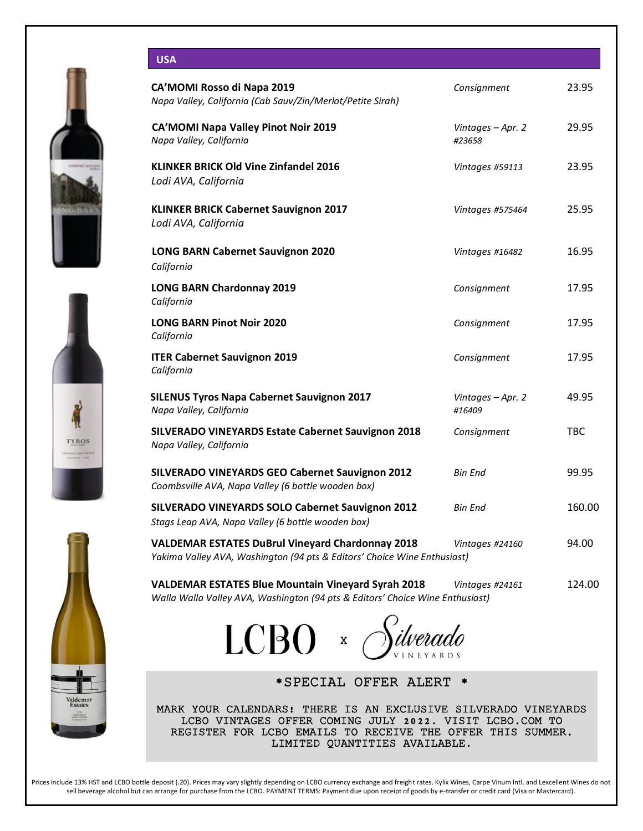







| CA'MOMI Rosso di Napa 2019<br>Napa Valley, California (Cab Sauv/Zin/Merlot/Petite Sirah)                                                   | Consignment                 | 23.95      |
|--------------------------------------------------------------------------------------------------------------------------------------------|-----------------------------|------------|
| <b>CA'MOMI Napa Valley Pinot Noir 2019</b><br>Napa Valley, California                                                                      | Vintages - Apr. 2<br>#23658 | 29.95      |
| <b>KLINKER BRICK Old Vine Zinfandel 2016</b><br>Lodi AVA, California                                                                       | Vintages #59113             | 23.95      |
| <b>KLINKER BRICK Cabernet Sauvignon 2017</b><br>Lodi AVA, California                                                                       | Vintages #575464            | 25.95      |
| <b>LONG BARN Cabernet Sauvignon 2020</b><br>California                                                                                     | Vintages #16482             | 16.95      |
| <b>LONG BARN Chardonnay 2019</b><br>California                                                                                             | Consignment                 | 17.95      |
| <b>LONG BARN Pinot Noir 2020</b><br>California                                                                                             | Consignment                 | 17.95      |
| <b>ITER Cabernet Sauvignon 2019</b><br>California                                                                                          | Consignment                 | 17.95      |
| <b>SILENUS Tyros Napa Cabernet Sauvignon 2017</b><br>Napa Valley, California                                                               | Vintages - Apr. 2<br>#16409 | 49.95      |
| <b>SILVERADO VINEYARDS Estate Cabernet Sauvignon 2018</b><br>Napa Valley, California                                                       | Consignment                 | <b>TBC</b> |
| SILVERADO VINEYARDS GEO Cabernet Sauvignon 2012<br>Coombsville AVA, Napa Valley (6 bottle wooden box)                                      | <b>Bin End</b>              | 99.95      |
| SILVERADO VINEYARDS SOLO Cabernet Sauvignon 2012<br>Stags Leap AVA, Napa Valley (6 bottle wooden box)                                      | Bin End                     | 160.00     |
| <b>VALDEMAR ESTATES DuBrul Vineyard Chardonnay 2018</b><br>Yakima Valley AVA, Washington (94 pts & Editors' Choice Wine Enthusiast)        | Vintages #24160             | 94.00      |
| <b>VALDEMAR ESTATES Blue Mountain Vineyard Syrah 2018</b><br>Walla Walla Valley AVA, Washington (94 pts & Editors' Choice Wine Enthusiast) | Vintages #24161             | 124.00     |



\*SPECIAL OFFER ALERT \*

MARK YOUR CALENDARS! THERE IS AN EXCLUSIVE SILVERADO VINEYARDS LCBO VINTAGES OFFER COMING JULY 2022. VISIT LCBO.COM TO REGISTER FOR LCBO EMAILS TO RECEIVE THE OFFER THIS SUMMER. LIMITED QUANTITIES AVAILABLE.

Prices include 13% HST and LCBO bottle deposit (.20). Prices may vary slightly depending on LCBO currency exchange and freight rates. Kylix Wines, Carpe Vinum Intl. and Lexcellent Wines do not sell beverage alcohol but can arrange for purchase from the LCBO. PAYMENT TERMS: Payment due upon receipt of goods by e-transfer or credit card (Visa or Mastercard).